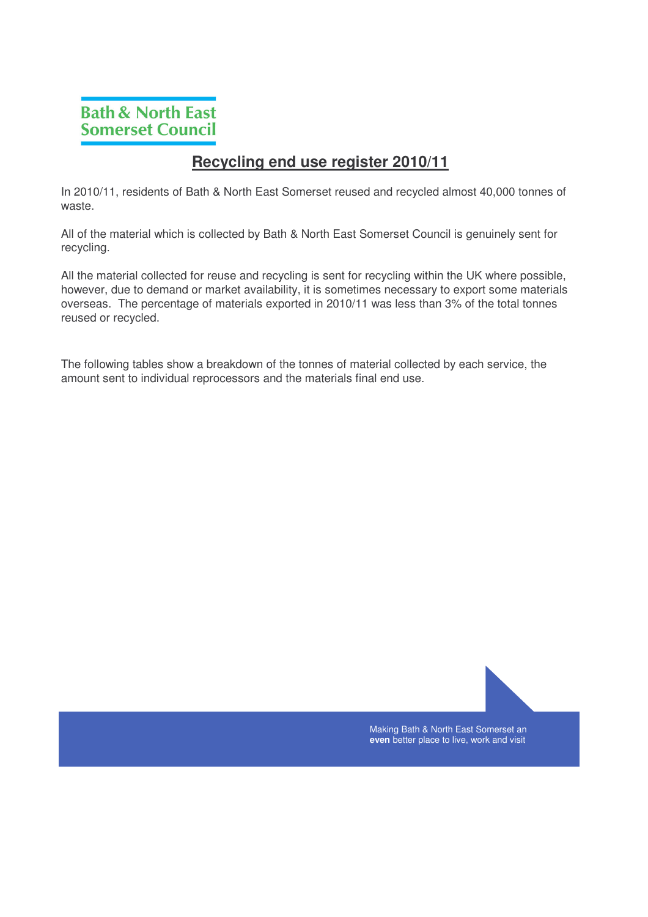## **Recycling end use register 2010/11**

In 2010/11, residents of Bath & North East Somerset reused and recycled almost 40,000 tonnes of waste.

All of the material which is collected by Bath & North East Somerset Council is genuinely sent for recycling.

All the material collected for reuse and recycling is sent for recycling within the UK where possible, however, due to demand or market availability, it is sometimes necessary to export some materials overseas. The percentage of materials exported in 2010/11 was less than 3% of the total tonnes reused or recycled.

The following tables show a breakdown of the tonnes of material collected by each service, the amount sent to individual reprocessors and the materials final end use.

> Making Bath & North East Somerset an **even** better place to live, work and visit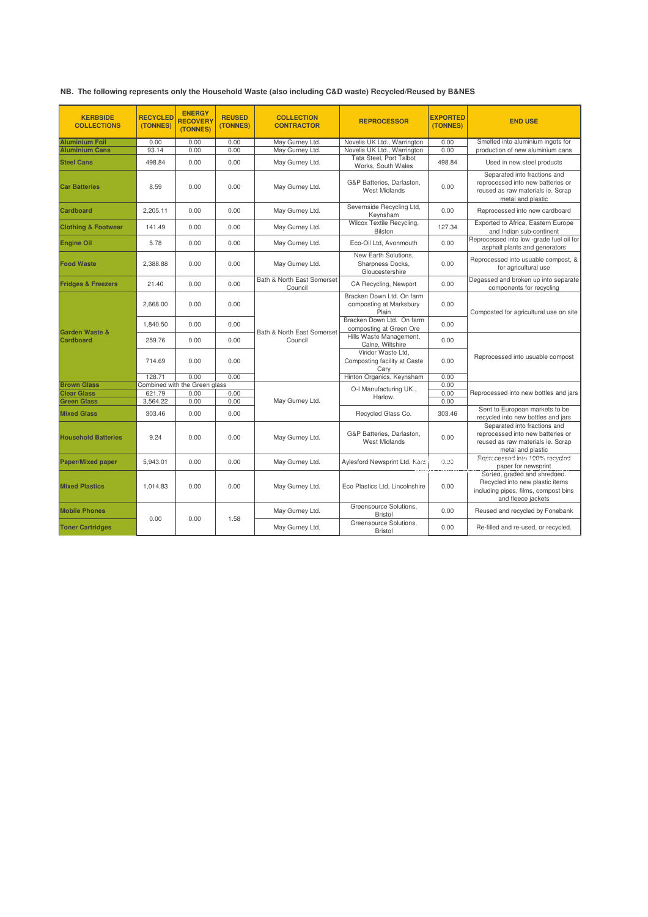|  | NB. The following represents only the Household Waste (also including C&D waste) Recycled/Reused by B&NES |  |  |
|--|-----------------------------------------------------------------------------------------------------------|--|--|
|--|-----------------------------------------------------------------------------------------------------------|--|--|

| <b>KERBSIDE</b><br><b>COLLECTIONS</b>    | <b>RECYCLED</b><br>(TONNES) | <b>ENERGY</b><br><b>RECOVERY</b><br>(TONNES) | <b>REUSED</b><br>(TONNES) | <b>COLLECTION</b><br><b>CONTRACTOR</b> | <b>REPROCESSOR</b>                                            | <b>EXPORTED</b><br>(TONNES) | <b>END USE</b>                                                                                                                |
|------------------------------------------|-----------------------------|----------------------------------------------|---------------------------|----------------------------------------|---------------------------------------------------------------|-----------------------------|-------------------------------------------------------------------------------------------------------------------------------|
| <b>Aluminium Foil</b>                    | 0.00                        | 0.00                                         | 0.00                      | May Gurney Ltd.                        | Novelis UK Ltd., Warrington                                   | 0.00                        | Smelted into aluminium ingots for                                                                                             |
| <b>Aluminium Cans</b>                    | 93.14                       | 0.00                                         | 0.00                      | May Gurney Ltd.                        | Novelis UK Ltd., Warrington                                   | 0.00                        | production of new aluminium cans                                                                                              |
| <b>Steel Cans</b>                        | 498.84                      | 0.00                                         | 0.00                      | May Gurney Ltd.                        | <b>Tata Steel, Port Talbot</b><br>Works, South Wales          | 498.84                      | Used in new steel products                                                                                                    |
| <b>Car Batteries</b>                     | 8.59                        | 0.00                                         | 0.00                      | May Gurney Ltd.                        | G&P Batteries, Darlaston,<br><b>West Midlands</b>             | 0.00                        | Separated into fractions and<br>reprocessed into new batteries or<br>reused as raw materials ie. Scrap<br>metal and plastic   |
| <b>Cardboard</b>                         | 2.205.11                    | 0.00                                         | 0.00                      | May Gurney Ltd.                        | Severnside Recycling Ltd,<br>Keynsham                         | 0.00                        | Reprocessed into new cardboard                                                                                                |
| <b>Clothing &amp; Footwear</b>           | 141.49                      | 0.00                                         | 0.00                      | May Gurney Ltd.                        | Wilcox Textile Recycling,<br><b>Bilston</b>                   | 127.34                      | Exported to Africa, Eastern Europe<br>and Indian sub-continent                                                                |
| <b>Engine Oil</b>                        | 5.78                        | 0.00                                         | 0.00                      | May Gurney Ltd.                        | Eco-Oil Ltd, Avonmouth                                        | 0.00                        | Reprocessed into low -grade fuel oil for<br>asphalt plants and generators                                                     |
| <b>Food Waste</b>                        | 2.388.88                    | 0.00                                         | 0.00                      | May Gurney Ltd.                        | New Earth Solutions.<br>Sharpness Docks,<br>Gloucestershire   | 0.00                        | Reprocessed into usuable compost, &<br>for agricultural use                                                                   |
| <b>Fridges &amp; Freezers</b>            | 21.40                       | 0.00                                         | 0.00                      | Bath & North East Somerset<br>Council  | CA Recycling, Newport                                         | 0.00                        | Degassed and broken up into separate<br>components for recycling                                                              |
|                                          | 2.668.00                    | 0.00                                         | 0.00                      | Bath & North East Somerset<br>Council  | Bracken Down Ltd. On farm<br>composting at Marksbury<br>Plain | 0.00                        | Composted for agricultural use on site                                                                                        |
| <b>Garden Waste &amp;</b>                | 1,840.50                    | 0.00                                         | 0.00                      |                                        | Bracken Down Ltd. On farm<br>composting at Green Ore          | 0.00                        |                                                                                                                               |
| <b>Cardboard</b>                         | 259.76                      | 0.00                                         | 0.00                      |                                        | Hills Waste Management,<br>Calne, Wiltshire                   | 0.00                        |                                                                                                                               |
|                                          | 714.69                      | 0.00                                         | 0.00                      |                                        | Viridor Waste Ltd,<br>Composting facility at Caste<br>Cary    | 0.00                        | Reprocessed into usuable compost                                                                                              |
|                                          | 128.71                      | 0.00                                         | 0.00                      |                                        | Hinton Organics, Keynsham                                     | 0.00                        |                                                                                                                               |
| <b>Brown Glass</b><br><b>Clear Glass</b> | 621.79                      | Combined with the Green glass<br>0.00        | 0.00                      | May Gurney Ltd.                        | O-I Manufacturing UK.,<br>Harlow.                             | 0.00<br>0.00                | Reprocessed into new bottles and jars                                                                                         |
| <b>Green Glass</b>                       | 3,564.22                    | 0.00                                         | 0.00                      |                                        |                                                               | 0.00                        |                                                                                                                               |
| <b>Mixed Glass</b>                       | 303.46                      | 0.00                                         | 0.00                      |                                        | Recycled Glass Co.                                            | 303.46                      | Sent to European markets to be<br>recycled into new bottles and jars                                                          |
| <b>Household Batteries</b>               | 9.24                        | 0.00                                         | 0.00                      | May Gurney Ltd.                        | G&P Batteries, Darlaston,<br><b>West Midlands</b>             | 0.00                        | Separated into fractions and<br>reprocessed into new batteries or<br>reused as raw materials ie. Scrap<br>metal and plastic   |
| <b>Paper/Mixed paper</b>                 | 5.943.01                    | 0.00                                         | 0.00                      | May Gurney Ltd.                        | Aylesford Newsprint Ltd. Kent                                 | 0.00                        | Reprocessed into 100% recycled<br>paper for newsprint                                                                         |
| <b>Mixed Plastics</b>                    | 1,014.83                    | 0.00                                         | 0.00                      | May Gurney Ltd.                        | Eco Plastics Ltd, Lincolnshire                                | 0.00                        | Soried, graded and shredded.<br>Recycled into new plastic items<br>including pipes, films, compost bins<br>and fleece jackets |
| <b>Mobile Phones</b>                     | 0.00                        | 0.00                                         | 1.58                      | May Gurney Ltd.                        | Greensource Solutions.<br><b>Bristol</b>                      | 0.00                        | Reused and recycled by Fonebank                                                                                               |
| <b>Toner Cartridges</b>                  |                             |                                              |                           | May Gurney Ltd.                        | Greensource Solutions.<br><b>Bristol</b>                      | 0.00                        | Re-filled and re-used, or recycled.                                                                                           |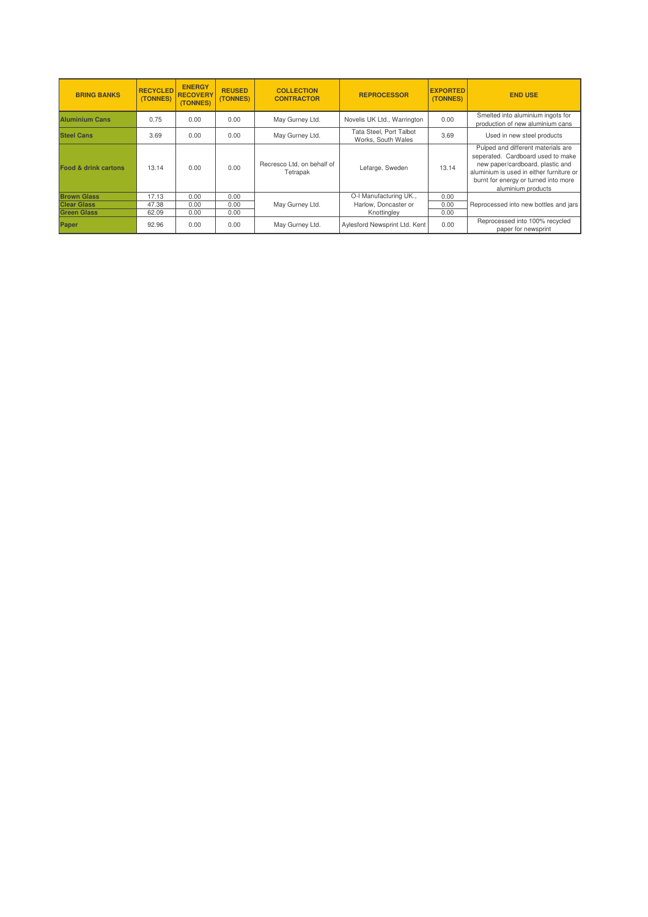| <b>BRING BANKS</b>              | <b>RECYCLED</b><br>(TONNES) | <b>ENERGY</b><br><b>RECOVERY</b><br>(TONNES) | <b>REUSED</b><br>(TONNES) | <b>COLLECTION</b><br><b>CONTRACTOR</b> | <b>REPROCESSOR</b>                            | <b>EXPORTED</b><br>(TONNES) | <b>END USE</b>                                                                                                                                                                                                        |
|---------------------------------|-----------------------------|----------------------------------------------|---------------------------|----------------------------------------|-----------------------------------------------|-----------------------------|-----------------------------------------------------------------------------------------------------------------------------------------------------------------------------------------------------------------------|
| <b>Aluminium Cans</b>           | 0.75                        | 0.00                                         | 0.00                      | May Gurney Ltd.                        | Novelis UK Ltd., Warrington                   | 0.00                        | Smelted into aluminium ingots for<br>production of new aluminium cans                                                                                                                                                 |
| <b>Steel Cans</b>               | 3.69                        | 0.00                                         | 0.00                      | May Gurney Ltd.                        | Tata Steel, Port Talbot<br>Works, South Wales | 3.69                        | Used in new steel products                                                                                                                                                                                            |
| <b>Food &amp; drink cartons</b> | 13.14                       | 0.00                                         | 0.00                      | Recresco Ltd, on behalf of<br>Tetrapak | Lefarge, Sweden                               | 13.14                       | Pulped and different materials are<br>seperated. Cardboard used to make<br>new paper/cardboard, plastic and<br>aluminium is used in either furniture or<br>burnt for energy or turned into more<br>aluminium products |
| <b>Brown Glass</b>              | 17.13                       | 0.00                                         | 0.00                      |                                        | O-I Manufacturing UK.,                        | 0.00                        |                                                                                                                                                                                                                       |
| <b>Clear Glass</b>              | 47.38                       | 0.00                                         | 0.00                      | May Gurney Ltd.                        | Harlow, Doncaster or                          | 0.00                        | Reprocessed into new bottles and jars                                                                                                                                                                                 |
| <b>Green Glass</b>              | 62.09                       | 0.00                                         | 0.00                      |                                        | Knottingley                                   | 0.00                        |                                                                                                                                                                                                                       |
| Paper                           | 92.96                       | 0.00                                         | 0.00                      | May Gurney Ltd.                        | Aylesford Newsprint Ltd. Kent                 | 0.00                        | Reprocessed into 100% recycled<br>paper for newsprint                                                                                                                                                                 |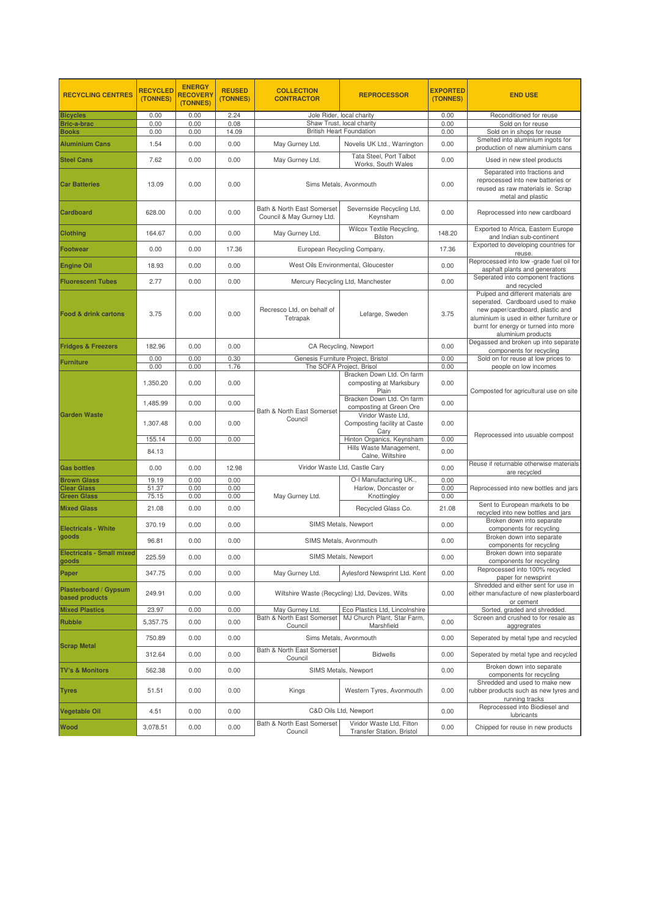| <b>RECYCLING CENTRES</b>                | <b>RECYCLED</b><br>(TONNES)                                               | <b>ENERGY</b><br><b>RECOVERY</b><br>(TONNES) | <b>REUSED</b><br>(TONNES) | <b>COLLECTION</b><br><b>CONTRACTOR</b>                  | <b>REPROCESSOR</b>                                                                         | <b>EXPORTED</b><br>(TONNES) | <b>END USE</b>                                                                                                                                                                                                        |
|-----------------------------------------|---------------------------------------------------------------------------|----------------------------------------------|---------------------------|---------------------------------------------------------|--------------------------------------------------------------------------------------------|-----------------------------|-----------------------------------------------------------------------------------------------------------------------------------------------------------------------------------------------------------------------|
| <b>Bicycles</b>                         | 0.00                                                                      | 0.00                                         | 2.24                      |                                                         | Jole Rider, local charity                                                                  | 0.00                        | Reconditioned for reuse                                                                                                                                                                                               |
| Bric-a-brac                             | 0.00                                                                      | 0.00                                         | 0.08                      | Shaw Trust, local charity                               |                                                                                            | 0.00                        | Sold on for reuse                                                                                                                                                                                                     |
| <b>Books</b>                            | 0.00                                                                      | 0.00                                         | 14.09                     |                                                         | <b>British Heart Foundation</b>                                                            | 0.00                        | Sold on in shops for reuse                                                                                                                                                                                            |
| <b>Aluminium Cans</b>                   | 1.54                                                                      | 0.00                                         | 0.00                      | May Gurney Ltd.                                         | Novelis UK Ltd., Warrington                                                                | 0.00                        | Smelted into aluminium ingots for<br>production of new aluminium cans                                                                                                                                                 |
| <b>Steel Cans</b>                       | 7.62                                                                      | 0.00                                         | 0.00                      | May Gurney Ltd.                                         | Tata Steel, Port Talbot<br>Works, South Wales                                              | 0.00                        | Used in new steel products                                                                                                                                                                                            |
| <b>Car Batteries</b>                    | 13.09                                                                     | 0.00                                         | 0.00                      | Sims Metals, Avonmouth                                  |                                                                                            | 0.00                        | Separated into fractions and<br>reprocessed into new batteries or<br>reused as raw materials ie. Scrap<br>metal and plastic                                                                                           |
| Cardboard                               | 628.00                                                                    | 0.00                                         | 0.00                      | Bath & North East Somerset<br>Council & May Gurney Ltd. | Severnside Recycling Ltd,<br>Keynsham                                                      | 0.00                        | Reprocessed into new cardboard                                                                                                                                                                                        |
| <b>Clothing</b>                         | 164.67                                                                    | 0.00                                         | 0.00                      | May Gurney Ltd.                                         | Wilcox Textile Recycling,<br>Bilston                                                       | 148.20                      | Exported to Africa, Eastern Europe<br>and Indian sub-continent                                                                                                                                                        |
| Footwear                                | 0.00                                                                      | 0.00                                         | 17.36                     |                                                         | European Recycling Company,                                                                | 17.36                       | Exported to developing countries for<br>reuse.                                                                                                                                                                        |
| <b>Engine Oil</b>                       | 18.93                                                                     | 0.00                                         | 0.00                      |                                                         | West Oils Environmental, Gloucester                                                        | 0.00                        | Reprocessed into low -grade fuel oil for<br>asphalt plants and generators                                                                                                                                             |
| <b>Fluorescent Tubes</b>                | 2.77                                                                      | 0.00                                         | 0.00                      |                                                         | Mercury Recycling Ltd, Manchester                                                          | 0.00                        | Seperated into component fractions<br>and recycled                                                                                                                                                                    |
| Food & drink cartons                    | 3.75                                                                      | 0.00                                         | 0.00                      | Recresco Ltd, on behalf of<br>Tetrapak                  | Lefarge, Sweden                                                                            | 3.75                        | Pulped and different materials are<br>seperated. Cardboard used to make<br>new paper/cardboard, plastic and<br>aluminium is used in either furniture or<br>burnt for energy or turned into more<br>aluminium products |
| <b>Fridges &amp; Freezers</b>           | 182.96                                                                    | 0.00                                         | 0.00                      | CA Recycling, Newport                                   |                                                                                            | 0.00                        | Degassed and broken up into separate<br>components for recycling                                                                                                                                                      |
| Furniture                               | 0.00                                                                      | 0.00                                         | 0.30                      |                                                         | Genesis Furniture Project, Bristol                                                         | 0.00                        | Sold on for reuse at low prices to                                                                                                                                                                                    |
|                                         | 0.00                                                                      | 0.00                                         | 1.76                      |                                                         | The SOFA Project, Brisol                                                                   | 0.00                        | people on low incomes                                                                                                                                                                                                 |
|                                         | 1.350.20                                                                  | 0.00                                         | 0.00                      | Bath & North East Somerset<br>Council                   | Bracken Down Ltd. On farm<br>composting at Marksbury<br>Plain                              | 0.00                        | Composted for agricultural use on site                                                                                                                                                                                |
|                                         | 1,485.99                                                                  | 0.00                                         | 0.00                      |                                                         | Bracken Down Ltd. On farm<br>composting at Green Ore                                       | 0.00                        |                                                                                                                                                                                                                       |
| <b>Garden Waste</b>                     | 1,307.48                                                                  | 0.00                                         | 0.00                      |                                                         | Viridor Waste Ltd,<br>Composting facility at Caste<br>Cary                                 | 0.00                        |                                                                                                                                                                                                                       |
|                                         | 155.14                                                                    | 0.00                                         | 0.00                      |                                                         | Hinton Organics, Keynsham                                                                  | 0.00                        | Reprocessed into usuable compost                                                                                                                                                                                      |
|                                         | 84.13                                                                     |                                              |                           |                                                         | Hills Waste Management,<br>Calne, Wiltshire                                                | 0.00                        |                                                                                                                                                                                                                       |
| <b>Gas bottles</b>                      | 0.00                                                                      | 0.00                                         | 12.98                     |                                                         | Viridor Waste Ltd, Castle Cary                                                             | 0.00                        | Reuse if returnable otherwise materials<br>are recycled                                                                                                                                                               |
| <b>Brown Glass</b>                      | 19.19                                                                     | 0.00                                         | 0.00                      |                                                         | O-I Manufacturing UK.,                                                                     | 0.00                        |                                                                                                                                                                                                                       |
| <b>Clear Glass</b>                      | 51.37                                                                     | 0.00                                         | 0.00                      |                                                         | Harlow, Doncaster or                                                                       | 0.00                        | Reprocessed into new bottles and jars                                                                                                                                                                                 |
| <b>Green Glass</b>                      | 75.15                                                                     | 0.00                                         | 0.00                      | May Gurney Ltd.                                         | Knottingley                                                                                | 0.00                        | Sent to European markets to be                                                                                                                                                                                        |
| <b>Mixed Glass</b>                      | 21.08                                                                     | 0.00                                         | 0.00                      |                                                         | Recycled Glass Co.                                                                         | 21.08                       | recycled into new bottles and jars<br>Broken down into separate                                                                                                                                                       |
| <b>Electricals - White</b>              | 370.19                                                                    | 0.00                                         | 0.00                      | SIMS Metals, Newport                                    |                                                                                            | 0.00                        | components for recycling                                                                                                                                                                                              |
| goods<br>Electricals - Small mixed      | 96.81                                                                     | 0.00                                         | 0.00                      | SIMS Metals, Avonmouth                                  |                                                                                            | 0.00                        | Broken down into separate<br>components for recycling                                                                                                                                                                 |
| goods                                   | 225.59                                                                    | 0.00                                         | 0.00                      |                                                         | SIMS Metals, Newport                                                                       | 0.00                        | Broken down into separate<br>components for recycling                                                                                                                                                                 |
| Paper                                   | 347.75                                                                    | 0.00                                         | 0.00                      | May Gurney Ltd.                                         | Aylesford Newsprint Ltd. Kent                                                              | 0.00                        | Reprocessed into 100% recycled<br>paper for newsprint                                                                                                                                                                 |
| Plasterboard / Gypsum<br>based products | Wiltshire Waste (Recycling) Ltd, Devizes, Wilts<br>249.91<br>0.00<br>0.00 |                                              |                           | 0.00                                                    | Shredded and either sent for use in<br>either manufacture of new plasterboard<br>or cement |                             |                                                                                                                                                                                                                       |
| <b>Mixed Plastics</b>                   | 23.97                                                                     | 0.00                                         | 0.00                      | May Gurney Ltd.                                         | Eco Plastics Ltd, Lincolnshire                                                             |                             | Sorted, graded and shredded.                                                                                                                                                                                          |
| Rubble                                  | 5,357.75                                                                  | 0.00                                         | 0.00                      | Bath & North East Somerset<br>Council                   | MJ Church Plant, Star Farm,<br>Marshfield                                                  | 0.00                        | Screen and crushed to for resale as<br>aggregrates                                                                                                                                                                    |
|                                         | 750.89                                                                    | 0.00                                         | 0.00                      |                                                         | Sims Metals, Avonmouth                                                                     | 0.00                        | Seperated by metal type and recycled                                                                                                                                                                                  |
| <b>Scrap Metal</b>                      | 312.64                                                                    | 0.00                                         | 0.00                      | Bath & North East Somerset<br>Council                   | <b>Bidwells</b>                                                                            | 0.00                        | Seperated by metal type and recycled                                                                                                                                                                                  |
| <b>TV's &amp; Monitors</b>              | 562.38                                                                    | 0.00                                         | 0.00                      | SIMS Metals, Newport                                    |                                                                                            | 0.00                        | Broken down into separate<br>components for recycling                                                                                                                                                                 |
| <b>Tyres</b>                            | 51.51                                                                     | 0.00                                         | 0.00                      | Western Tyres, Avonmouth<br>Kings                       |                                                                                            | 0.00                        | Shredded and used to make new<br>rubber products such as new tyres and<br>running tracks                                                                                                                              |
| Vegetable Oil                           | 4.51                                                                      | 0.00                                         | 0.00                      |                                                         | C&D Oils Ltd, Newport                                                                      | 0.00                        | Reprocessed into Biodiesel and<br>lubricants                                                                                                                                                                          |
| Wood                                    | 3,078.51                                                                  | 0.00                                         | 0.00                      | Bath & North East Somerset<br>Council                   | Viridor Waste Ltd, Filton<br>Transfer Station, Bristol                                     | 0.00                        | Chipped for reuse in new products                                                                                                                                                                                     |